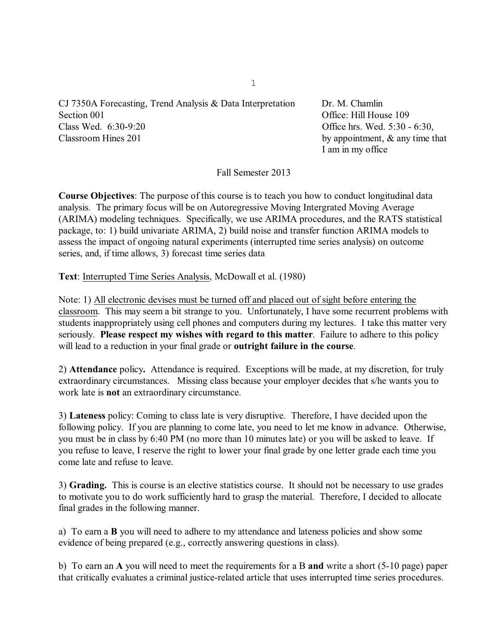CJ 7350A Forecasting, Trend Analysis & Data Interpretation Dr. M. Chamlin Section 001 Contract Contract Contract Contract Contract Contract Contract Office: Hill House 109 Class Wed. 6:30-9:20 Office hrs. Wed. 5:30 - 6:30, Classroom Hines 201 by appointment, & any time that

I am in my office

Fall Semester 2013

**Course Objectives**: The purpose of this course is to teach you how to conduct longitudinal data analysis. The primary focus will be on Autoregressive Moving Intergrated Moving Average (ARIMA) modeling techniques. Specifically, we use ARIMA procedures, and the RATS statistical package, to: 1) build univariate ARIMA, 2) build noise and transfer function ARIMA models to assess the impact of ongoing natural experiments (interrupted time series analysis) on outcome series, and, if time allows, 3) forecast time series data

**Text**: Interrupted Time Series Analysis, McDowall et al. (1980)

Note: 1) All electronic devises must be turned off and placed out of sight before entering the classroom. This may seem a bit strange to you. Unfortunately, I have some recurrent problems with students inappropriately using cell phones and computers during my lectures. I take this matter very seriously. **Please respect my wishes with regard to this matter**. Failure to adhere to this policy will lead to a reduction in your final grade or **outright failure in the course**.

2) **Attendance** policy**.** Attendance is required. Exceptions will be made, at my discretion, for truly extraordinary circumstances. Missing class because your employer decides that s/he wants you to work late is **not** an extraordinary circumstance.

3) **Lateness** policy: Coming to class late is very disruptive. Therefore, I have decided upon the following policy. If you are planning to come late, you need to let me know in advance. Otherwise, you must be in class by 6:40 PM (no more than 10 minutes late) or you will be asked to leave. If you refuse to leave, I reserve the right to lower your final grade by one letter grade each time you come late and refuse to leave.

3) **Grading.** This is course is an elective statistics course. It should not be necessary to use grades to motivate you to do work sufficiently hard to grasp the material. Therefore, I decided to allocate final grades in the following manner.

a) To earn a **B** you will need to adhere to my attendance and lateness policies and show some evidence of being prepared (e.g., correctly answering questions in class).

b) To earn an **A** you will need to meet the requirements for a B **and** write a short (5-10 page) paper that critically evaluates a criminal justice-related article that uses interrupted time series procedures.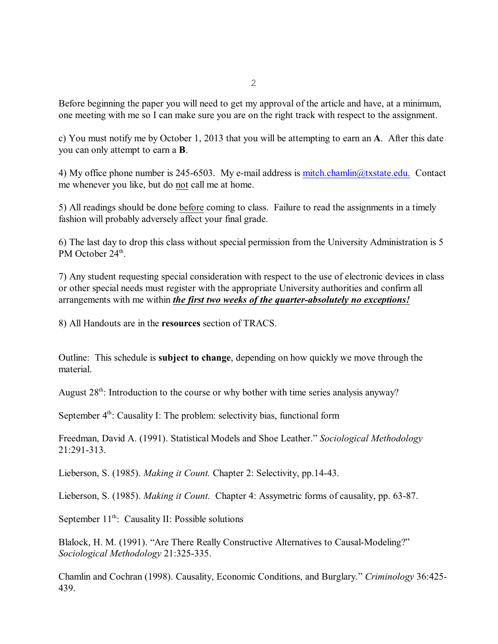Before beginning the paper you will need to get my approval of the article and have, at a minimum, one meeting with me so I can make sure you are on the right track with respect to the assignment.

c) You must notify me by October 1, 2013 that you will be attempting to earn an **A**. After this date you can only attempt to earn a **B**.

4) My office phone number is 245-6503. My e-mail address is  $\frac{mitch}{chain}$  $@txstate.edu$ . Contact me whenever you like, but do not call me at home.

5) All readings should be done before coming to class. Failure to read the assignments in a timely fashion will probably adversely affect your final grade.

6) The last day to drop this class without special permission from the University Administration is 5 PM October 24<sup>th</sup>.

7) Any student requesting special consideration with respect to the use of electronic devices in class or other special needs must register with the appropriate University authorities and confirm all arrangements with me within *the first two weeks of the quarter-absolutely no exceptions!*

8) All Handouts are in the **resources** section of TRACS.

Outline: This schedule is **subject to change**, depending on how quickly we move through the material.

August 28<sup>th</sup>: Introduction to the course or why bother with time series analysis anyway?

September  $4<sup>th</sup>$ : Causality I: The problem: selectivity bias, functional form

Freedman, David A. (1991). Statistical Models and Shoe Leather." *Sociological Methodology* 21:291-313.

Lieberson, S. (1985). *Making it Count.* Chapter 2: Selectivity, pp.14-43.

Lieberson, S. (1985). *Making it Count.* Chapter 4: Assymetric forms of causality, pp. 63-87.

September  $11<sup>th</sup>$ : Causality II: Possible solutions

Blalock, H. M. (1991). "Are There Really Constructive Alternatives to Causal-Modeling?" *Sociological Methodology* 21:325-335.

<span id="page-1-0"></span>Chamlin and Cochran (1998). Causality, Economic Conditions, and Burglary." *Criminology* 36:425- 439.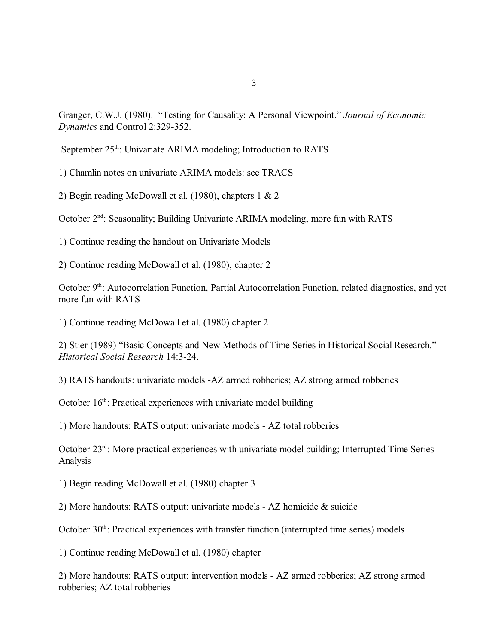Granger, C.W.J. (1980). "Testing for Causality: A Personal Viewpoint." *Journal of Economic Dynamics* and Control 2:329-352.

September 25<sup>th</sup>: Univariate ARIMA modeling; Introduction to RATS

1) Chamlin notes on univariate ARIMA models: see TRACS

2) Begin reading McDowall et al. (1980), chapters 1 & 2

October 2<sup>nd</sup>: Seasonality; Building Univariate ARIMA modeling, more fun with RATS

1) Continue reading the handout on Univariate Models

2) Continue reading McDowall et al. (1980), chapter 2

October  $9<sup>th</sup>$ : Autocorrelation Function, Partial Autocorrelation Function, related diagnostics, and yet more fun with RATS

1) Continue reading McDowall et al. (1980) chapter 2

2) Stier (1989) "Basic Concepts and New Methods of Time Series in Historical Social Research." *Historical Social Research* 14:3-24.

3) RATS handouts: univariate models -AZ armed robberies; AZ strong armed robberies

October 16<sup>th</sup>: Practical experiences with univariate model building

1) More handouts: RATS output: univariate models - AZ total robberies

October  $23<sup>rd</sup>$ : More practical experiences with univariate model building; Interrupted Time Series Analysis

1) Begin reading McDowall et al. (1980) chapter 3

2) More handouts: RATS output: univariate models - AZ homicide & suicide

October  $30<sup>th</sup>$ : Practical experiences with transfer function (interrupted time series) models

1) Continue reading McDowall et al. (1980) chapter

2) More handouts: RATS output: intervention models - AZ armed robberies; AZ strong armed robberies; AZ total robberies